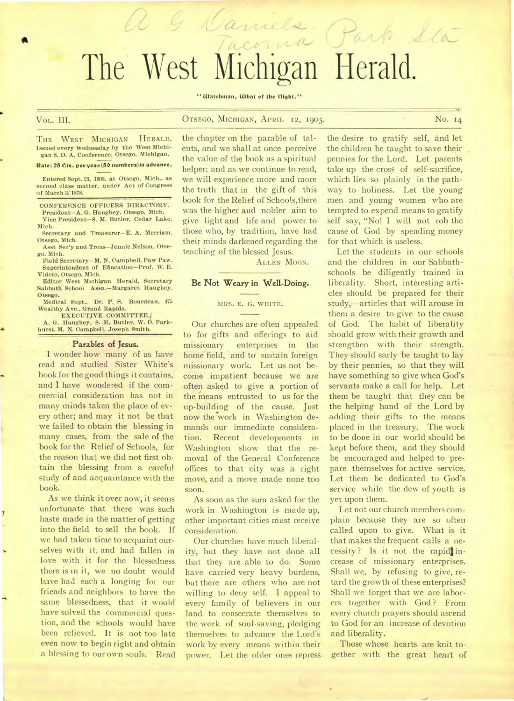# nels Park Sta The West Michigan Herald.

#### " Watchman, What of the Dight."

of March 3:1878.

Mich.

**A** 

VoL. **III.** OTSEGO, MICHIGAN, APRIL 12, 1905. **No. 14** 

THE WEST MICHIGAN HERALD. Issued every Wednesday by the West Michigan S. D. A. Conference. Otsego. Michigan. Rate: 25 Cts. per year (50 numbers) in advance. Entered Sept. 23, 1903. at Otsego. Mich.. as second class matter, under Act of Congress CONFERENCE OFFICERS DIRECTORY. President—A. G. Haughey, Otsego, Mich. Vice President—S. M. Butler, Cedar Lake, Secretary and Treasurer—E. A. Merriam.

a & Caniels

Otsego, Mich. Asst Sec'y and Treas—Jennie Nelson, Otse-

go. Mich. Field Secretary—M. N. Campbell. Paw Paw.

Superintendent of Education—Prof. W. E. Videto, Otsego, Mich.

Editor West Michigan Herald, Secretary Sabbath School Assn.—Margaret Haughey, Otsego.

Medical Supt., Dr. P. S. Bourdeau, 475 Wealthy Ave.. Grand Rapids.

EXECUTIVE COMMITTEE.' A. G. Haughey, S. M. Butler, W. D. Park-

hurst. M. N. Campbell. Joseph Smith.

#### **Parables of Jesus.**

**I** wonder how many of us have read and studied Sister White's book for the good things it contains, and **I** have wondered if the commercial consideration has not in many minds taken the place of every other; and may it not be that we failed to obtain the blessing in many cases, from the sale of the book for the Relief of Schools, for the reason that we did not first obtain the blessing from a careful study of and acquaintance with the book.

As we think it over now, it seems unfortunate that there was such haste made in the matter of getting into the field to sell the book. If we had taken time to acquaint our selves with it, and had fallen in love with it for the blessedness there is in it, we no doubt would have had such a longing for our friends and neighbors to have the same blessedness, that it would have solved the commercial question, and the schools would have been relieved. **It** is not too late even now to begin right and obtain a blessing to our own souls. Read the chapter on the parable of talents, and we shall at once perceive the value of the book as a spiritual helper; and as we continue to read, we will experience more and more the truth that in the gift of this book for the Relief of Schools,there was the higher and nobler aim to give light and life and power to those who, by tradition, have had their minds darkened regarding the teaching of the blessed. Jesus.

ALLEN MOON.

# Be Not Weary in Well-Doing.

#### MRS. E. G. WHITE.

Our churches are often appealed to for gifts and offerings to aid enterprises in the home field, and to sustain foreign missionary work. Let us not become impatient because we are often asked to give a portion of the means entrusted to us for the up-building of the cause. Just now the work in Washington demands our immediate consideration. Recent developments in Washington show that the removal of the General Conference offices to that city was a right move, and a move made none too soon.

As soon as the sum asked for the work in Washington is made up, other important cities must receive consideration.

Our churches have much liberality, but they have not done all that they are able to do. Some have carried very heavy burdens, but there are others who are not willing to deny self. I appeal to every family of believers in our land to consecrate themselves to the work of soul-saving, pledging themselves to advance the Lord's work by every means within their power. Let the older ones repress

the desire to gratify self, and let the children be taught to save their pennies for the Lord. Let parents take up the cross of self-sacrifice, which lies so plainly in the pathway to holiness. Let the young men and young women who are tempted to expend means to gratify self say, "No! I will not rob the cause of God by spending money for that which is useless.

Let the students in our schools and the children in our Sabbathschools be diligently trained in liberality. Short, interesting articles should be prepared for their study,—articles that will arouse in them a desire to give to the cause of God. The habit of liberality should grow with their growth and strengthen with their strength. They should early be taught to lay by their pennies, so that they will have something to give when God's servants make a call for help. Let them be taught that they can be the helping hand of the Lord by adding their gifts to the means placed in the treasury. The work to be done in our world should be kept before them, and they should be encouraged and helped to prepare themselves for active service. Let them be dedicated to God's service while the dew of youth is yet upon them.

Let not our church members complain because they are so often called upon to give. What is it that makes the frequent calls a necessity? Is it not the rapid increase of missionary enterprises. Shall we, by refusing to give, retard the growth of these enterprises? Shall we forget that we are laborers together with God? From every church prayers should ascend to God for an increase of devotion and liberality.

Those whose hearts are knit together with the great heart of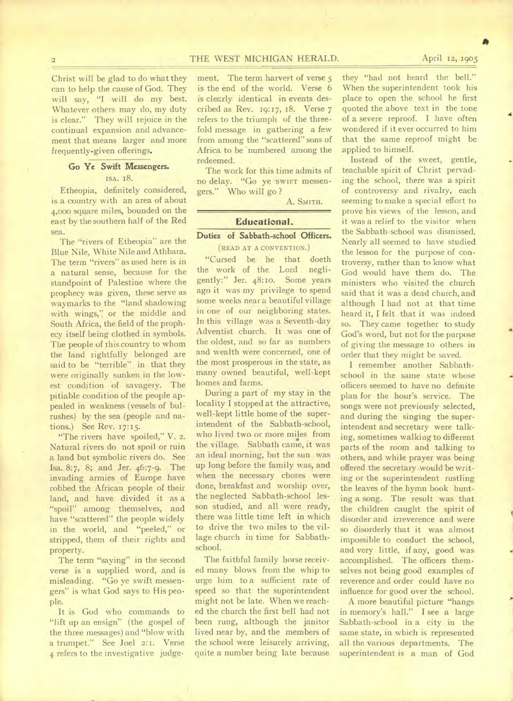# 2 THE WEST MICHIGAN HERALD. April 12, 1905

Christ will be glad to do what they can to help the cause of God. They will say, "I will do my best. Whatever others may do, my duty is clear." They will rejoice in the continual expansion and advancement that means larger and more frequently-given offerings.

# **Go Ye Swift Messengers.**  ISA. 18.

Etheopia, definitely considered, is a country with an area of about 4,000 square miles, bounded on the east by the southern half of the Red sea.

The "rivers of Etheopia" are the Blue Nile, White Nile and Athbara. The term "rivers" as used here is in a natural sense, because for the standpoint of Palestine where the prophecy was given, these serve as waymarks to the "land shadowing with wings," or the middle and South Africa, the field of the prophecy itself being clothed in symbols. The people of this country to whom the land rightfully belonged are said to be "terrible" in that they were originally sunken in the lowest condition of savagery. The pitiable condition of the people appealed in weakness (vessels of bulrushes) by the sea (people and nations.) See Rev. 17:15.

"The rivers have spoiled," V. 2. Natural rivers do not spoil or ruin a land but symbolic rivers do. See Isa. 8:7, 8; and Jer. 46:7-9. The invading armies of Europe have robbed the African people of their land, and have divided it as a "spoil" among themselves, and have "scattered" the people widely in the world, and "peeled," or stripped, them of their rights and property.

The term "saying" in the second verse is a supplied word, and is misleading. "Go ye swift messengers" is what God says to His people.

It is God who commands to "lift up an ensign" (the gospel of the three messages) and "blow with a trumpet." See Joel 2:1. Verse 4 refers to the investigative judgement. The term harvest of verse 5 is the end of the world. Verse 6 is clearly identical in events described as Rev. 19:17, 18. Verse 7 refers to the triumph of the threefold message in gathering a few from among the "scattered" sons of Africa to be numbered among the redeemed.

The work for this time admits of no delay. "Go ye SWIFT messengers." Who will go ?

A. SMITH.

## **Educational.**

# **Duties of Sabbath-school Officers.**

(READ AT A CONVENTION.)

"Cursed be he that doeth the work of the Lord negligently:" Jer. 48:1o. Some years ago it was my privilege to spend some weeks near a beautiful village in one of our neighboring states. In this village was a Seventh-day Adventist church. It was one of the oldest, and so far as numbers and wealth were concerned, one of the most prosperous in the state, as many owned beautiful, well-kept homes and farms.

During a part of my stay in the locality I stopped at the attractive, well-kept little home of the superintendent of the Sabbath-school, who lived two or more miles from the village. Sabbath came, it was an ideal morning, but the sun was up long before the family was, and when the necessary chores were done, breakfast and worship over, the neglected Sabbath-school lesson studied, and all were ready, there was little time left in which to drive the two miles to the village church in time for Sabbathschool.

The faithful family horse received many blows from the whip to urge him to a sufficient rate of speed so that the superintendent might not be late. When we reached the church the first bell had not been rung, although the janitor lived near by, and the members of the school were leisurely arriving, quite a number being late because

they "had not heard the bell." When the superintendent took his place to open the school he first quoted the above text in the tone of a severe reproof. I have often wondered if it ever occurred to him that the same reproof might be applied to himself.

Instead of the sweet, gentle, teachable spirit of Christ pervading the school, there was a spirit of controversy and rivalry, each seeming to make a special effort to prove his views of the lesson, and it was a relief to the visitor when the Sabbath-school was dismissed. Nearly all seemed to have studied the lesson for the purpose of controversy, rather than to know what God would have them do. The ministers who visited the church said that it was a dead church, and although I had not at that time heard it, I felt that it was indeed so. They came together to study God's word, but not for the purpose of giving the message to others in order that they might be saved.

I remember another Sabbathschool in the same state whose 'officers seemed to have no definite plan for the hour's service. The songs were not previously selected, and during the singing the superintendent and secretary were talking, sometimes walking to different parts of the room and talking to others, and while prayer was being offered the secretary would be writing or the superintendent rustling the leaves of the hymn book hunting a song. The result was that the children caught the spirit of disorder and irreverence and were so disorderly that it was almost impossible to conduct the school, and very little, if any, good was accomplished. The officers themselves not being good examples of reverence and order could have no influence for good over the school.

A more beautiful picture "hangs in memory's hall." I see a large Sabbath-school in a city in the same state, in which is represented all the various departments. The superintendent is a man of God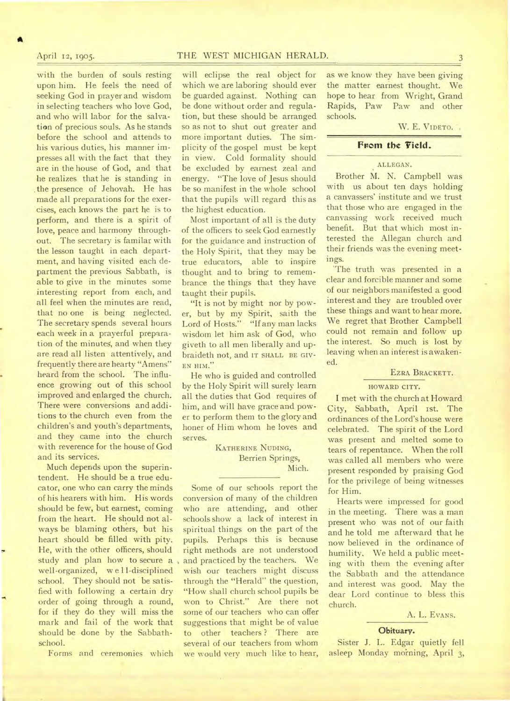# April 12, 1905. THE WEST MICHIGAN HERALD. 3

A

with the burden of souls resting upon him. He feels the need of seeking God in prayer and wisdom in selecting teachers who love God, and who will labor for the salvation of precious souls. As he stands before the school and attends to his various duties, his manner impresses all with the fact that they are in the house of God, and that he realizes that he is standing in .the presence of Jehovah. He has made all preparations for the exercises, each knows the part he is to perform, and there is a spirit of love, peace and harmony throughout. The secretary is familar with the lesson taught in each department, and having visited each department the previous Sabbath, is able to give in the minutes some interesting report from each, and all feel when the minutes are read, that no one is being neglected. The secretary spends several hours each week in a prayerful preparation of the minutes, and when they are read all listen attentively, and frequently there are hearty "Amens" heard from the school. The influence growing out of this school improved and enlarged the church. There were conversions and additions to the church even from the children's and youth's departments, and they came into the church with reverence for the house of God and its services.

Much depends upon the superintendent. He should be a true educator, one who can carry the minds of his hearers with him. His words should be few, but earnest, coming from the heart. He should not always be blaming others, but his heart should be filled with pity. He, with the other officers, should study and plan how to secure a well-organized, w e 11-disciplined school. They should not be satisfied with following a certain dry order of going through a round, for if they do they will miss the mark and fail of the work that should be done by the Sabbathschool.

Forms and ceremonies which

will eclipse the real object for which we are laboring should ever be guarded against. Nothing can be done without order and regulation, but these should be arranged so as not to shut out greater and more important duties. The simplicity of the gospel must be kept in view. Cold formality should be excluded by earnest zeal and energy. "The love of Jesus should be so manifest in the whole school that the pupils will regard this as the highest education.

Most important of all is the duty of the officers to seek God earnestly for the guidance and instruction of the Holy Spirit, that they may be true educators, able to inspire thought and to bring to remembrance the things that they have taught their pupils.

"It is not by might nor by power, but by my Spirit, saith the Lord of Hosts." "If any man lacks wisdom let him ask of God, who giveth to all men liberally and upbraideth not, and IT SHALL BE GIV-EN HIM."

He who is guided and controlled by the Holy Spirit will surely learn all the duties that God requires of him, and will have grace and power to perform them to the glory and honer of Him whom he loves and serves.

> KATHERINE NUDING, Berrien Springs, Mich.

Some of our schools report the conversion of many of the children who are attending, and other schools show a lack of interest in spiritual things on the part of the pupils. Perhaps this is because right methods are not understood and practiced by the teachers. We wish our teachers might discuss through the "Herald" the question, "How shall church school pupils be won to Christ." Are there not some of our teachers who can offer suggestions that might be of value to other teachers ? There are several of our teachers from whom we would very much like to hear, as we know they have been giving the matter earnest thought. We hope to hear from Wright, Grand Rapids, Paw Paw and other schools.

#### W. E. VIDETO.

# **Fvom the Yield.**

## ALLEGAN.

Brother M. N. Campbell was with us about ten days holding a canvassers' institute and we trust that those who are engaged in the canvassing work received much benefit. But that which most interested the Allegan church and their friends was the evening meetings.

'The truth was presented in a clear and forcible manner and some of our neighbors manifested a good interest and they are troubled over these things and want to hear more. We regret that Brother Campbell could not remain and follow up the interest. So much is lost by leaving when an interest is awakened.

#### EZRA BRACKETT.

#### HOWARD CITY.

I met with the church at Howard City, Sabbath, April ist. The ordinances of the Lord's house were celebrated. The spirit of the Lord was present and melted some to tears of repentance. When the roll was called all members who were present responded by praising God for the privilege of being witnesses for Him.

Hearts were impressed for good in the meeting. There was a man present who was not of our faith and he told me afterward that he now believed in the ordinance of humility. We held a public meeting with them the evening after the Sabbath and the attendance and interest was good. May the dear Lord continue to bless this church.

A. L. EVANS.

#### Obituary.

Sister J. L. Edgar quietly fell asleep Monday morning, April 3,